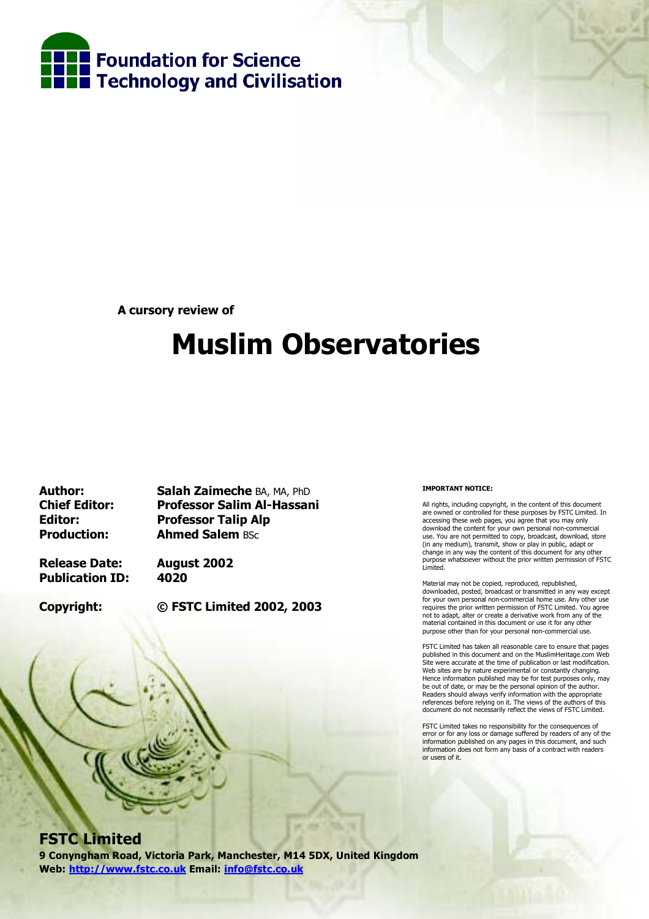

**A cursory review of** 

# **Muslim Observatories**

**Author: Salah Zaimeche** BA, MA, PhD **Chief Editor: Professor Salim Al-Hassani Editor: Professor Talip Alp Production: Ahmed Salem BSc** 

**Release Date: August 2002 Publication ID: 4020** 

**Copyright: © FSTC Limited 2002, 2003**

#### **IMPORTANT NOTICE:**

All rights, including copyright, in the content of this document are owned or controlled for these purposes by FSTC Limited. In accessing these web pages, you agree that you may only download the content for your own personal non-commercial use. You are not permitted to copy, broadcast, download, store (in any medium), transmit, show or play in public, adapt or change in any way the content of this document for any other purpose whatsoever without the prior written permission of FSTC Limited.

Material may not be copied, reproduced, republished, downloaded, posted, broadcast or transmitted in any way except for your own personal non-commercial home use. Any other use requires the prior written permission of FSTC Limited. You agree not to adapt, alter or create a derivative work from any of the material contained in this document or use it for any other purpose other than for your personal non-commercial use.

FSTC Limited has taken all reasonable care to ensure that pages published in this document and on the MuslimHeritage.com Web Site were accurate at the time of publication or last modification. Web sites are by nature experimental or constantly changing. Hence information published may be for test purposes only, may be out of date, or may be the personal opinion of the author. Readers should always verify information with the appropriate references before relying on it. The views of the authors of this document do not necessarily reflect the views of FSTC Limited.

FSTC Limited takes no responsibility for the consequences of error or for any loss or damage suffered by readers of any of the information published on any pages in this document, and such information does not form any basis of a contract with readers or users of it.

### **FSTC Limited**

**9 Conyngham Road, Victoria Park, Manchester, M14 5DX, United Kingdom Web: http://www.fstc.co.uk Email: info@fstc.co.uk**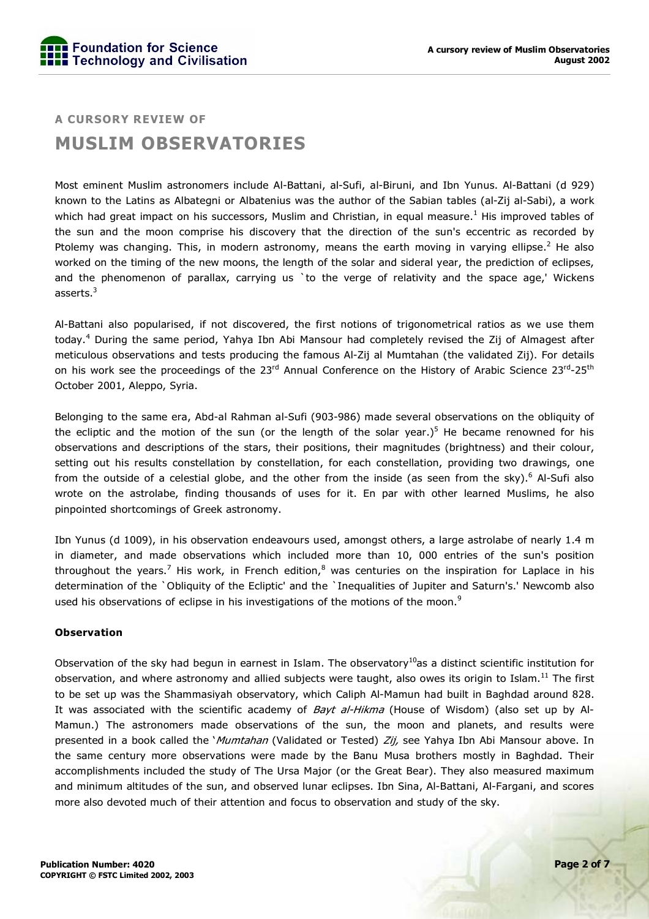## **A CURSORY REVIEW OF MUSLIM OBSERVATORIES**

Most eminent Muslim astronomers include Al-Battani, al-Sufi, al-Biruni, and Ibn Yunus. Al-Battani (d 929) known to the Latins as Albategni or Albatenius was the author of the Sabian tables (al-Zij al-Sabi), a work which had great impact on his successors, Muslim and Christian, in equal measure.<sup>1</sup> His improved tables of the sun and the moon comprise his discovery that the direction of the sun's eccentric as recorded by Ptolemy was changing. This, in modern astronomy, means the earth moving in varying ellipse.<sup>2</sup> He also worked on the timing of the new moons, the length of the solar and sideral year, the prediction of eclipses, and the phenomenon of parallax, carrying us `to the verge of relativity and the space age,' Wickens asserts. $^3$ 

Al-Battani also popularised, if not discovered, the first notions of trigonometrical ratios as we use them today.<sup>4</sup> During the same period, Yahya Ibn Abi Mansour had completely revised the Zij of Almagest after meticulous observations and tests producing the famous Al-Zij al Mumtahan (the validated Zij). For details on his work see the proceedings of the 23<sup>rd</sup> Annual Conference on the History of Arabic Science 23<sup>rd</sup>-25<sup>th</sup> October 2001, Aleppo, Syria.

Belonging to the same era, Abd-al Rahman al-Sufi (903-986) made several observations on the obliquity of the ecliptic and the motion of the sun (or the length of the solar year.)<sup>5</sup> He became renowned for his observations and descriptions of the stars, their positions, their magnitudes (brightness) and their colour, setting out his results constellation by constellation, for each constellation, providing two drawings, one from the outside of a celestial globe, and the other from the inside (as seen from the sky).<sup>6</sup> Al-Sufi also wrote on the astrolabe, finding thousands of uses for it. En par with other learned Muslims, he also pinpointed shortcomings of Greek astronomy.

Ibn Yunus (d 1009), in his observation endeavours used, amongst others, a large astrolabe of nearly 1.4 m in diameter, and made observations which included more than 10, 000 entries of the sun's position throughout the years.<sup>7</sup> His work, in French edition,<sup>8</sup> was centuries on the inspiration for Laplace in his determination of the `Obliquity of the Ecliptic' and the `Inequalities of Jupiter and Saturn's.' Newcomb also used his observations of eclipse in his investigations of the motions of the moon.<sup>9</sup>

#### **Observation**

Observation of the sky had begun in earnest in Islam. The observatory<sup>10</sup>as a distinct scientific institution for observation, and where astronomy and allied subjects were taught, also owes its origin to Islam.<sup>11</sup> The first to be set up was the Shammasiyah observatory, which Caliph Al-Mamun had built in Baghdad around 828. It was associated with the scientific academy of *Bayt al-Hikma* (House of Wisdom) (also set up by Al-Mamun.) The astronomers made observations of the sun, the moon and planets, and results were presented in a book called the *`Mumtahan* (Validated or Tested) Zij, see Yahya Ibn Abi Mansour above. In the same century more observations were made by the Banu Musa brothers mostly in Baghdad. Their accomplishments included the study of The Ursa Major (or the Great Bear). They also measured maximum and minimum altitudes of the sun, and observed lunar eclipses. Ibn Sina, Al-Battani, Al-Fargani, and scores more also devoted much of their attention and focus to observation and study of the sky.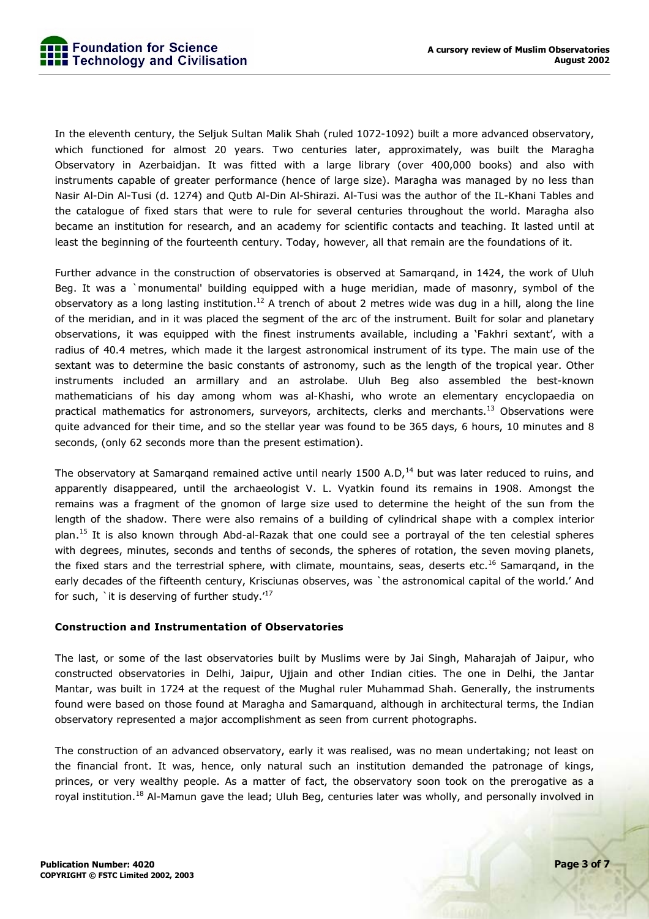

In the eleventh century, the Seljuk Sultan Malik Shah (ruled 1072-1092) built a more advanced observatory, which functioned for almost 20 years. Two centuries later, approximately, was built the Maragha Observatory in Azerbaidjan. It was fitted with a large library (over 400,000 books) and also with instruments capable of greater performance (hence of large size). Maragha was managed by no less than Nasir Al-Din Al-Tusi (d. 1274) and Qutb Al-Din Al-Shirazi. Al-Tusi was the author of the IL-Khani Tables and the catalogue of fixed stars that were to rule for several centuries throughout the world. Maragha also became an institution for research, and an academy for scientific contacts and teaching. It lasted until at least the beginning of the fourteenth century. Today, however, all that remain are the foundations of it.

Further advance in the construction of observatories is observed at Samarqand, in 1424, the work of Uluh Beg. It was a `monumental' building equipped with a huge meridian, made of masonry, symbol of the observatory as a long lasting institution.<sup>12</sup> A trench of about 2 metres wide was dug in a hill, along the line of the meridian, and in it was placed the segment of the arc of the instrument. Built for solar and planetary observations, it was equipped with the finest instruments available, including a 'Fakhri sextant', with a radius of 40.4 metres, which made it the largest astronomical instrument of its type. The main use of the sextant was to determine the basic constants of astronomy, such as the length of the tropical year. Other instruments included an armillary and an astrolabe. Uluh Beg also assembled the best-known mathematicians of his day among whom was al-Khashi, who wrote an elementary encyclopaedia on practical mathematics for astronomers, surveyors, architects, clerks and merchants.<sup>13</sup> Observations were quite advanced for their time, and so the stellar year was found to be 365 days, 6 hours, 10 minutes and 8 seconds, (only 62 seconds more than the present estimation).

The observatory at Samargand remained active until nearly 1500 A.D,<sup>14</sup> but was later reduced to ruins, and apparently disappeared, until the archaeologist V. L. Vyatkin found its remains in 1908. Amongst the remains was a fragment of the gnomon of large size used to determine the height of the sun from the length of the shadow. There were also remains of a building of cylindrical shape with a complex interior plan.<sup>15</sup> It is also known through Abd-al-Razak that one could see a portrayal of the ten celestial spheres with degrees, minutes, seconds and tenths of seconds, the spheres of rotation, the seven moving planets, the fixed stars and the terrestrial sphere, with climate, mountains, seas, deserts etc.<sup>16</sup> Samarqand, in the early decades of the fifteenth century, Krisciunas observes, was `the astronomical capital of the world.' And for such, `it is deserving of further study. $17$ 

#### **Construction and Instrumentation of Observatories**

The last, or some of the last observatories built by Muslims were by Jai Singh, Maharajah of Jaipur, who constructed observatories in Delhi, Jaipur, Ujjain and other Indian cities. The one in Delhi, the Jantar Mantar, was built in 1724 at the request of the Mughal ruler Muhammad Shah. Generally, the instruments found were based on those found at Maragha and Samarquand, although in architectural terms, the Indian observatory represented a major accomplishment as seen from current photographs.

The construction of an advanced observatory, early it was realised, was no mean undertaking; not least on the financial front. It was, hence, only natural such an institution demanded the patronage of kings, princes, or very wealthy people. As a matter of fact, the observatory soon took on the prerogative as a royal institution.<sup>18</sup> Al-Mamun gave the lead; Uluh Beg, centuries later was wholly, and personally involved in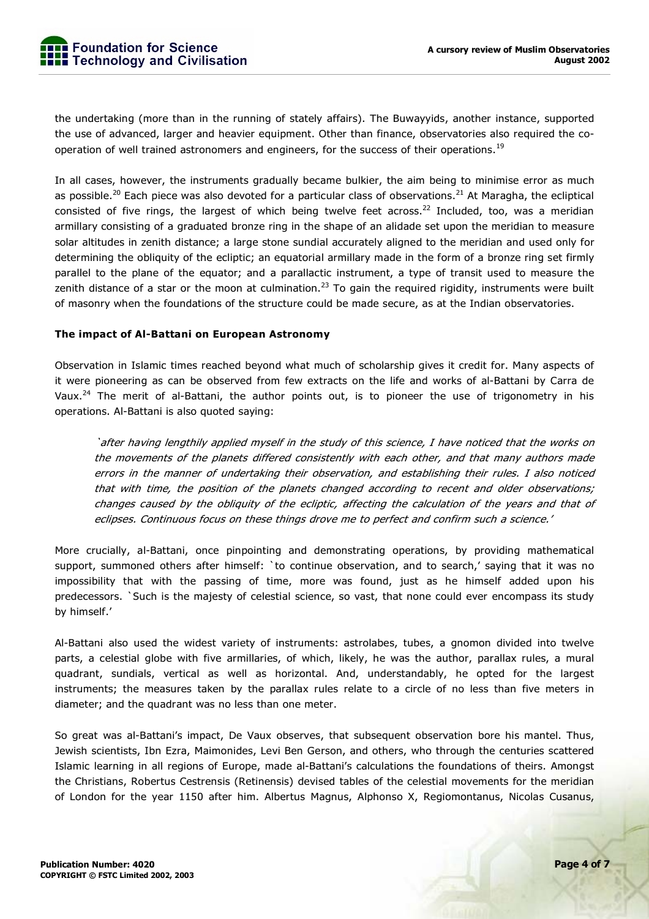

the undertaking (more than in the running of stately affairs). The Buwayyids, another instance, supported the use of advanced, larger and heavier equipment. Other than finance, observatories also required the cooperation of well trained astronomers and engineers, for the success of their operations.<sup>19</sup>

In all cases, however, the instruments gradually became bulkier, the aim being to minimise error as much as possible.<sup>20</sup> Each piece was also devoted for a particular class of observations.<sup>21</sup> At Maragha, the ecliptical consisted of five rings, the largest of which being twelve feet across.<sup>22</sup> Included, too, was a meridian armillary consisting of a graduated bronze ring in the shape of an alidade set upon the meridian to measure solar altitudes in zenith distance; a large stone sundial accurately aligned to the meridian and used only for determining the obliquity of the ecliptic; an equatorial armillary made in the form of a bronze ring set firmly parallel to the plane of the equator; and a parallactic instrument, a type of transit used to measure the zenith distance of a star or the moon at culmination.<sup>23</sup> To gain the required rigidity, instruments were built of masonry when the foundations of the structure could be made secure, as at the Indian observatories.

#### **The impact of Al-Battani on European Astronomy**

Observation in Islamic times reached beyond what much of scholarship gives it credit for. Many aspects of it were pioneering as can be observed from few extracts on the life and works of al-Battani by Carra de Vaux.<sup>24</sup> The merit of al-Battani, the author points out, is to pioneer the use of trigonometry in his operations. Al-Battani is also quoted saying:

`after having lengthily applied myself in the study of this science, I have noticed that the works on the movements of the planets differed consistently with each other, and that many authors made errors in the manner of undertaking their observation, and establishing their rules. I also noticed that with time, the position of the planets changed according to recent and older observations; changes caused by the obliquity of the ecliptic, affecting the calculation of the years and that of eclipses. Continuous focus on these things drove me to perfect and confirm such a science.'

More crucially, al-Battani, once pinpointing and demonstrating operations, by providing mathematical support, summoned others after himself: `to continue observation, and to search,' saying that it was no impossibility that with the passing of time, more was found, just as he himself added upon his predecessors. `Such is the majesty of celestial science, so vast, that none could ever encompass its study by himself.'

Al-Battani also used the widest variety of instruments: astrolabes, tubes, a gnomon divided into twelve parts, a celestial globe with five armillaries, of which, likely, he was the author, parallax rules, a mural quadrant, sundials, vertical as well as horizontal. And, understandably, he opted for the largest instruments; the measures taken by the parallax rules relate to a circle of no less than five meters in diameter; and the quadrant was no less than one meter.

So great was al-Battaniís impact, De Vaux observes, that subsequent observation bore his mantel. Thus, Jewish scientists, Ibn Ezra, Maimonides, Levi Ben Gerson, and others, who through the centuries scattered Islamic learning in all regions of Europe, made al-Battani's calculations the foundations of theirs. Amongst the Christians, Robertus Cestrensis (Retinensis) devised tables of the celestial movements for the meridian of London for the year 1150 after him. Albertus Magnus, Alphonso X, Regiomontanus, Nicolas Cusanus,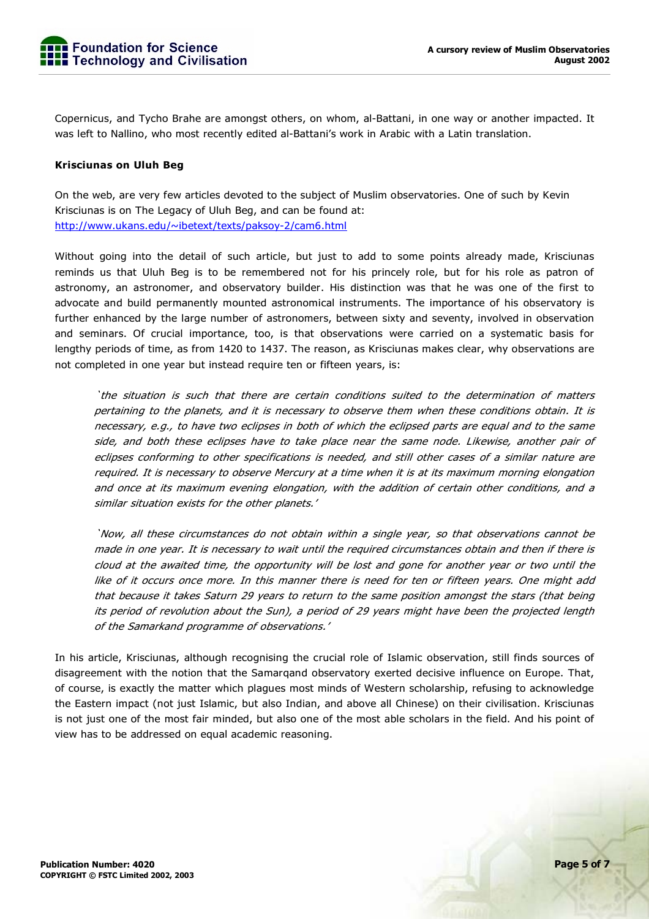

Copernicus, and Tycho Brahe are amongst others, on whom, al-Battani, in one way or another impacted. It was left to Nallino, who most recently edited al-Battani's work in Arabic with a Latin translation.

#### **Krisciunas on Uluh Beg**

On the web, are very few articles devoted to the subject of Muslim observatories. One of such by Kevin Krisciunas is on The Legacy of Uluh Beg, and can be found at: http://www.ukans.edu/~ibetext/texts/paksoy-2/cam6.html

Without going into the detail of such article, but just to add to some points already made, Krisciunas reminds us that Uluh Beg is to be remembered not for his princely role, but for his role as patron of astronomy, an astronomer, and observatory builder. His distinction was that he was one of the first to advocate and build permanently mounted astronomical instruments. The importance of his observatory is further enhanced by the large number of astronomers, between sixty and seventy, involved in observation and seminars. Of crucial importance, too, is that observations were carried on a systematic basis for lengthy periods of time, as from 1420 to 1437. The reason, as Krisciunas makes clear, why observations are not completed in one year but instead require ten or fifteen years, is:

`the situation is such that there are certain conditions suited to the determination of matters pertaining to the planets, and it is necessary to observe them when these conditions obtain. It is necessary, e.g., to have two eclipses in both of which the eclipsed parts are equal and to the same side, and both these eclipses have to take place near the same node. Likewise, another pair of eclipses conforming to other specifications is needed, and still other cases of a similar nature are required. It is necessary to observe Mercury at a time when it is at its maximum morning elongation and once at its maximum evening elongation, with the addition of certain other conditions, and a similar situation exists for the other planets.'

`Now, all these circumstances do not obtain within a single year, so that observations cannot be made in one year. It is necessary to wait until the required circumstances obtain and then if there is cloud at the awaited time, the opportunity will be lost and gone for another year or two until the like of it occurs once more. In this manner there is need for ten or fifteen years. One might add that because it takes Saturn 29 years to return to the same position amongst the stars (that being its period of revolution about the Sun), a period of 29 years might have been the projected length of the Samarkand programme of observations.'

In his article, Krisciunas, although recognising the crucial role of Islamic observation, still finds sources of disagreement with the notion that the Samarqand observatory exerted decisive influence on Europe. That, of course, is exactly the matter which plagues most minds of Western scholarship, refusing to acknowledge the Eastern impact (not just Islamic, but also Indian, and above all Chinese) on their civilisation. Krisciunas is not just one of the most fair minded, but also one of the most able scholars in the field. And his point of view has to be addressed on equal academic reasoning.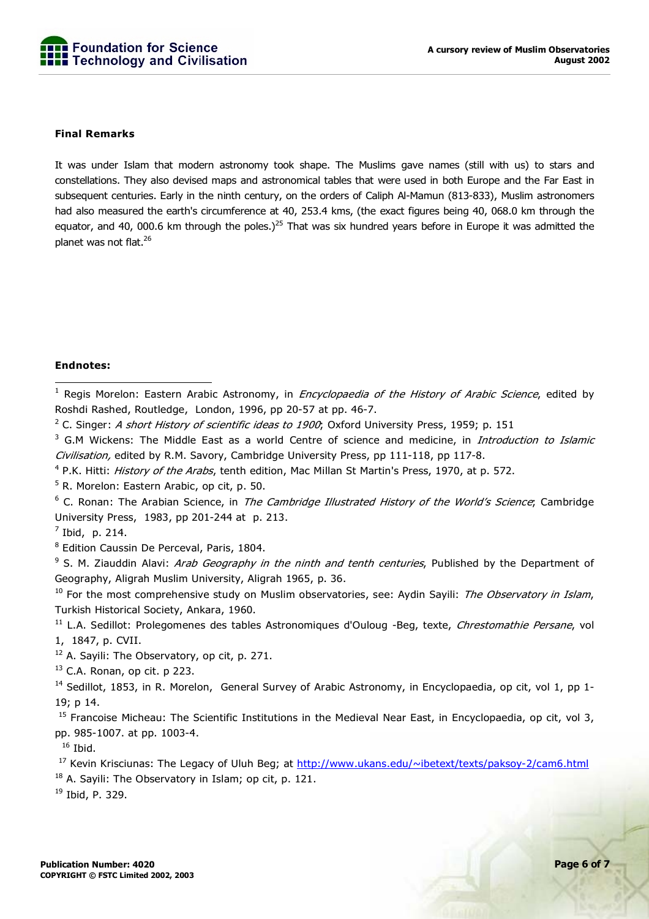

#### **Final Remarks**

It was under Islam that modern astronomy took shape. The Muslims gave names (still with us) to stars and constellations. They also devised maps and astronomical tables that were used in both Europe and the Far East in subsequent centuries. Early in the ninth century, on the orders of Caliph Al-Mamun (813-833), Muslim astronomers had also measured the earth's circumference at 40, 253.4 kms, (the exact figures being 40, 068.0 km through the equator, and 40, 000.6 km through the poles.)<sup>25</sup> That was six hundred years before in Europe it was admitted the planet was not flat.26

#### **Endnotes:**

1<br><sup>1</sup> Regis Morelon: Eastern Arabic Astronomy, in *Encyclopaedia of the History of Arabic Science*, edited by Roshdi Rashed, Routledge, London, 1996, pp 20-57 at pp. 46-7.

<sup>3</sup> G.M Wickens: The Middle East as a world Centre of science and medicine, in *Introduction to Islamic* Civilisation, edited by R.M. Savory, Cambridge University Press, pp 111-118, pp 117-8.

<sup>4</sup> P.K. Hitti: *History of the Arabs*, tenth edition, Mac Millan St Martin's Press, 1970, at p. 572.

<sup>5</sup> R. Morelon: Eastern Arabic, op cit, p. 50.

<sup>6</sup> C. Ronan: The Arabian Science, in *The Cambridge Illustrated History of the World's Science*; Cambridge University Press, 1983, pp 201-244 at p. 213.

 $<sup>7</sup>$  Ibid, p. 214.</sup>

<sup>8</sup> Edition Caussin De Perceval, Paris, 1804.

<sup>9</sup> S. M. Ziauddin Alavi: *Arab Geography in the ninth and tenth centuries*, Published by the Department of Geography, Aligrah Muslim University, Aligrah 1965, p. 36.

 $10$  For the most comprehensive study on Muslim observatories, see: Aydin Sayili: The Observatory in Islam, Turkish Historical Society, Ankara, 1960.

<sup>11</sup> L.A. Sedillot: Prolegomenes des tables Astronomiques d'Ouloug -Beg, texte, Chrestomathie Persane, vol 1, 1847, p. CVII.

 $12$  A. Sayili: The Observatory, op cit, p. 271.

 $13$  C.A. Ronan, op cit. p 223.

<sup>14</sup> Sedillot, 1853, in R. Morelon, General Survey of Arabic Astronomy, in Encyclopaedia, op cit, vol 1, pp 1-19; p 14.

<sup>15</sup> Francoise Micheau: The Scientific Institutions in the Medieval Near East, in Encyclopaedia, op cit, vol 3, pp. 985-1007. at pp. 1003-4.

 $16$  Ibid.

<sup>17</sup> Kevin Krisciunas: The Legacy of Uluh Beg; at http://www.ukans.edu/~ibetext/texts/paksoy-2/cam6.html

 $18$  A. Sayili: The Observatory in Islam; op cit, p. 121.

19 Ibid, P. 329.

<sup>&</sup>lt;sup>2</sup> C. Singer: *A short History of scientific ideas to 1900*; Oxford University Press, 1959; p. 151